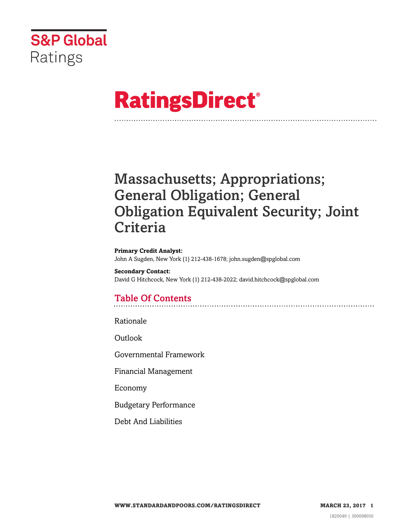

# **RatingsDirect®**

## Massachusetts; Appropriations; General Obligation; General Obligation Equivalent Security; Joint **Criteria**

**Primary Credit Analyst:** John A Sugden, New York (1) 212-438-1678; john.sugden@spglobal.com

**Secondary Contact:** David G Hitchcock, New York (1) 212-438-2022; david.hitchcock@spglobal.com

### Table Of Contents

[Rationale](#page-1-0)

[Outlook](#page-4-0)

[Governmental Framework](#page-5-0)

[Financial Management](#page-6-0)

[Economy](#page-7-0)

[Budgetary Performance](#page-8-0)

[Debt And Liabilities](#page-10-0)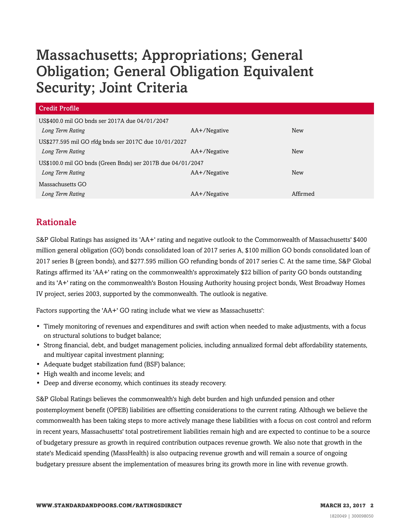## Massachusetts; Appropriations; General Obligation; General Obligation Equivalent Security; Joint Criteria

| <b>Credit Profile</b>                                       |              |          |  |  |
|-------------------------------------------------------------|--------------|----------|--|--|
| US\$400.0 mil GO bnds ser 2017A due 04/01/2047              |              |          |  |  |
| Long Term Rating                                            | AA+/Negative | New      |  |  |
| US\$277.595 mil GO rfdg bnds ser 2017C due 10/01/2027       |              |          |  |  |
| Long Term Rating                                            | AA+/Negative | New      |  |  |
| US\$100.0 mil GO bnds (Green Bnds) ser 2017B due 04/01/2047 |              |          |  |  |
| Long Term Rating                                            | AA+/Negative | New      |  |  |
| Massachusetts GO                                            |              |          |  |  |
| Long Term Rating                                            | AA+/Negative | Affirmed |  |  |

#### <span id="page-1-0"></span>Rationale

S&P Global Ratings has assigned its 'AA+' rating and negative outlook to the Commonwealth of Massachusetts' \$400 million general obligation (GO) bonds consolidated loan of 2017 series A, \$100 million GO bonds consolidated loan of 2017 series B (green bonds), and \$277.595 million GO refunding bonds of 2017 series C. At the same time, S&P Global Ratings affirmed its 'AA+' rating on the commonwealth's approximately \$22 billion of parity GO bonds outstanding and its 'A+' rating on the commonwealth's Boston Housing Authority housing project bonds, West Broadway Homes IV project, series 2003, supported by the commonwealth. The outlook is negative.

Factors supporting the 'AA+' GO rating include what we view as Massachusetts':

- Timely monitoring of revenues and expenditures and swift action when needed to make adjustments, with a focus on structural solutions to budget balance;
- Strong financial, debt, and budget management policies, including annualized formal debt affordability statements, and multiyear capital investment planning;
- Adequate budget stabilization fund (BSF) balance;
- High wealth and income levels; and
- Deep and diverse economy, which continues its steady recovery.

S&P Global Ratings believes the commonwealth's high debt burden and high unfunded pension and other postemployment benefit (OPEB) liabilities are offsetting considerations to the current rating. Although we believe the commonwealth has been taking steps to more actively manage these liabilities with a focus on cost control and reform in recent years, Massachusetts' total postretirement liabilities remain high and are expected to continue to be a source of budgetary pressure as growth in required contribution outpaces revenue growth. We also note that growth in the state's Medicaid spending (MassHealth) is also outpacing revenue growth and will remain a source of ongoing budgetary pressure absent the implementation of measures bring its growth more in line with revenue growth.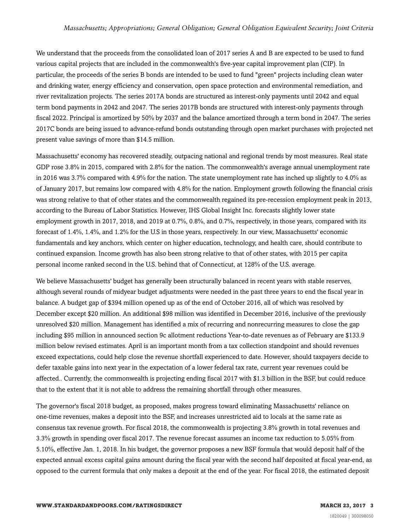#### *Massachusetts; Appropriations; General Obligation; General Obligation Equivalent Security; Joint Criteria*

We understand that the proceeds from the consolidated loan of 2017 series A and B are expected to be used to fund various capital projects that are included in the commonwealth's five-year capital improvement plan (CIP). In particular, the proceeds of the series B bonds are intended to be used to fund "green" projects including clean water and drinking water, energy efficiency and conservation, open space protection and environmental remediation, and river revitalization projects. The series 2017A bonds are structured as interest-only payments until 2042 and equal term bond payments in 2042 and 2047. The series 2017B bonds are structured with interest-only payments through fiscal 2022. Principal is amortized by 50% by 2037 and the balance amortized through a term bond in 2047. The series 2017C bonds are being issued to advance-refund bonds outstanding through open market purchases with projected net present value savings of more than \$14.5 million.

Massachusetts' economy has recovered steadily, outpacing national and regional trends by most measures. Real state GDP rose 3.8% in 2015, compared with 2.8% for the nation. The commonwealth's average annual unemployment rate in 2016 was 3.7% compared with 4.9% for the nation. The state unemployment rate has inched up slightly to 4.0% as of January 2017, but remains low compared with 4.8% for the nation. Employment growth following the financial crisis was strong relative to that of other states and the commonwealth regained its pre-recession employment peak in 2013, according to the Bureau of Labor Statistics. However, IHS Global Insight Inc. forecasts slightly lower state employment growth in 2017, 2018, and 2019 at 0.7%, 0.8%, and 0.7%, respectively, in those years, compared with its forecast of 1.4%, 1.4%, and 1.2% for the U.S in those years, respectively. In our view, Massachusetts' economic fundamentals and key anchors, which center on higher education, technology, and health care, should contribute to continued expansion. Income growth has also been strong relative to that of other states, with 2015 per capita personal income ranked second in the U.S. behind that of Connecticut, at 128% of the U.S. average.

We believe Massachusetts' budget has generally been structurally balanced in recent years with stable reserves, although several rounds of midyear budget adjustments were needed in the past three years to end the fiscal year in balance. A budget gap of \$394 million opened up as of the end of October 2016, all of which was resolved by December except \$20 million. An additional \$98 million was identified in December 2016, inclusive of the previously unresolved \$20 million. Management has identified a mix of recurring and nonrecurring measures to close the gap including \$95 million in announced section 9c allotment reductions Year-to-date revenues as of February are \$133.9 million below revised estimates. April is an important month from a tax collection standpoint and should revenues exceed expectations, could help close the revenue shortfall experienced to date. However, should taxpayers decide to defer taxable gains into next year in the expectation of a lower federal tax rate, current year revenues could be affected.. Currently, the commonwealth is projecting ending fiscal 2017 with \$1.3 billion in the BSF, but could reduce that to the extent that it is not able to address the remaining shortfall through other measures.

The governor's fiscal 2018 budget, as proposed, makes progress toward eliminating Massachusetts' reliance on one-time revenues, makes a deposit into the BSF, and increases unrestricted aid to locals at the same rate as consensus tax revenue growth. For fiscal 2018, the commonwealth is projecting 3.8% growth in total revenues and 3.3% growth in spending over fiscal 2017. The revenue forecast assumes an income tax reduction to 5.05% from 5.10%, effective Jan. 1, 2018. In his budget, the governor proposes a new BSF formula that would deposit half of the expected annual excess capital gains amount during the fiscal year with the second half deposited at fiscal year-end, as opposed to the current formula that only makes a deposit at the end of the year. For fiscal 2018, the estimated deposit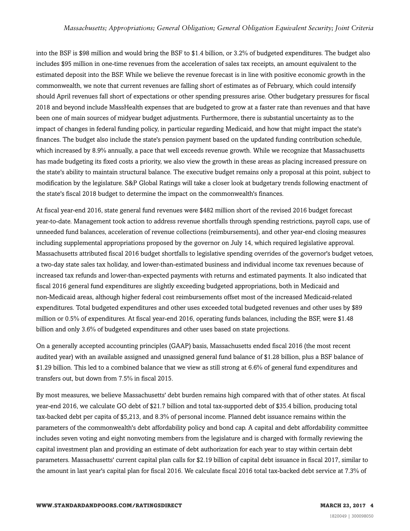into the BSF is \$98 million and would bring the BSF to \$1.4 billion, or 3.2% of budgeted expenditures. The budget also includes \$95 million in one-time revenues from the acceleration of sales tax receipts, an amount equivalent to the estimated deposit into the BSF. While we believe the revenue forecast is in line with positive economic growth in the commonwealth, we note that current revenues are falling short of estimates as of February, which could intensify should April revenues fall short of expectations or other spending pressures arise. Other budgetary pressures for fiscal 2018 and beyond include MassHealth expenses that are budgeted to grow at a faster rate than revenues and that have been one of main sources of midyear budget adjustments. Furthermore, there is substantial uncertainty as to the impact of changes in federal funding policy, in particular regarding Medicaid, and how that might impact the state's finances. The budget also include the state's pension payment based on the updated funding contribution schedule, which increased by 8.9% annually, a pace that well exceeds revenue growth. While we recognize that Massachusetts has made budgeting its fixed costs a priority, we also view the growth in these areas as placing increased pressure on the state's ability to maintain structural balance. The executive budget remains only a proposal at this point, subject to modification by the legislature. S&P Global Ratings will take a closer look at budgetary trends following enactment of the state's fiscal 2018 budget to determine the impact on the commonwealth's finances.

At fiscal year-end 2016, state general fund revenues were \$482 million short of the revised 2016 budget forecast year-to-date. Management took action to address revenue shortfalls through spending restrictions, payroll caps, use of unneeded fund balances, acceleration of revenue collections (reimbursements), and other year-end closing measures including supplemental appropriations proposed by the governor on July 14, which required legislative approval. Massachusetts attributed fiscal 2016 budget shortfalls to legislative spending overrides of the governor's budget vetoes, a two-day state sales tax holiday, and lower-than-estimated business and individual income tax revenues because of increased tax refunds and lower-than-expected payments with returns and estimated payments. It also indicated that fiscal 2016 general fund expenditures are slightly exceeding budgeted appropriations, both in Medicaid and non-Medicaid areas, although higher federal cost reimbursements offset most of the increased Medicaid-related expenditures. Total budgeted expenditures and other uses exceeded total budgeted revenues and other uses by \$89 million or 0.5% of expenditures. At fiscal year-end 2016, operating funds balances, including the BSF, were \$1.48 billion and only 3.6% of budgeted expenditures and other uses based on state projections.

On a generally accepted accounting principles (GAAP) basis, Massachusetts ended fiscal 2016 (the most recent audited year) with an available assigned and unassigned general fund balance of \$1.28 billion, plus a BSF balance of \$1.29 billion. This led to a combined balance that we view as still strong at 6.6% of general fund expenditures and transfers out, but down from 7.5% in fiscal 2015.

By most measures, we believe Massachusetts' debt burden remains high compared with that of other states. At fiscal year-end 2016, we calculate GO debt of \$21.7 billion and total tax-supported debt of \$35.4 billion, producing total tax-backed debt per capita of \$5,213, and 8.3% of personal income. Planned debt issuance remains within the parameters of the commonwealth's debt affordability policy and bond cap. A capital and debt affordability committee includes seven voting and eight nonvoting members from the legislature and is charged with formally reviewing the capital investment plan and providing an estimate of debt authorization for each year to stay within certain debt parameters. Massachusetts' current capital plan calls for \$2.19 billion of capital debt issuance in fiscal 2017, similar to the amount in last year's capital plan for fiscal 2016. We calculate fiscal 2016 total tax-backed debt service at 7.3% of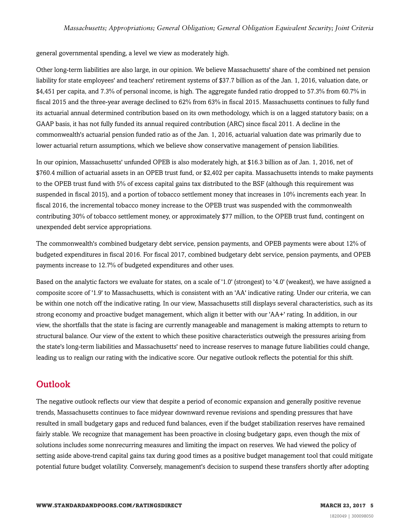general governmental spending, a level we view as moderately high.

Other long-term liabilities are also large, in our opinion. We believe Massachusetts' share of the combined net pension liability for state employees' and teachers' retirement systems of \$37.7 billion as of the Jan. 1, 2016, valuation date, or \$4,451 per capita, and 7.3% of personal income, is high. The aggregate funded ratio dropped to 57.3% from 60.7% in fiscal 2015 and the three-year average declined to 62% from 63% in fiscal 2015. Massachusetts continues to fully fund its actuarial annual determined contribution based on its own methodology, which is on a lagged statutory basis; on a GAAP basis, it has not fully funded its annual required contribution (ARC) since fiscal 2011. A decline in the commonwealth's actuarial pension funded ratio as of the Jan. 1, 2016, actuarial valuation date was primarily due to lower actuarial return assumptions, which we believe show conservative management of pension liabilities.

In our opinion, Massachusetts' unfunded OPEB is also moderately high, at \$16.3 billion as of Jan. 1, 2016, net of \$760.4 million of actuarial assets in an OPEB trust fund, or \$2,402 per capita. Massachusetts intends to make payments to the OPEB trust fund with 5% of excess capital gains tax distributed to the BSF (although this requirement was suspended in fiscal 2015), and a portion of tobacco settlement money that increases in 10% increments each year. In fiscal 2016, the incremental tobacco money increase to the OPEB trust was suspended with the commonwealth contributing 30% of tobacco settlement money, or approximately \$77 million, to the OPEB trust fund, contingent on unexpended debt service appropriations.

The commonwealth's combined budgetary debt service, pension payments, and OPEB payments were about 12% of budgeted expenditures in fiscal 2016. For fiscal 2017, combined budgetary debt service, pension payments, and OPEB payments increase to 12.7% of budgeted expenditures and other uses.

Based on the analytic factors we evaluate for states, on a scale of '1.0' (strongest) to '4.0' (weakest), we have assigned a composite score of '1.9' to Massachusetts, which is consistent with an 'AA' indicative rating. Under our criteria, we can be within one notch off the indicative rating. In our view, Massachusetts still displays several characteristics, such as its strong economy and proactive budget management, which align it better with our 'AA+' rating. In addition, in our view, the shortfalls that the state is facing are currently manageable and management is making attempts to return to structural balance. Our view of the extent to which these positive characteristics outweigh the pressures arising from the state's long-term liabilities and Massachusetts' need to increase reserves to manage future liabilities could change, leading us to realign our rating with the indicative score. Our negative outlook reflects the potential for this shift.

#### <span id="page-4-0"></span>**Outlook**

The negative outlook reflects our view that despite a period of economic expansion and generally positive revenue trends, Massachusetts continues to face midyear downward revenue revisions and spending pressures that have resulted in small budgetary gaps and reduced fund balances, even if the budget stabilization reserves have remained fairly stable. We recognize that management has been proactive in closing budgetary gaps, even though the mix of solutions includes some nonrecurring measures and limiting the impact on reserves. We had viewed the policy of setting aside above-trend capital gains tax during good times as a positive budget management tool that could mitigate potential future budget volatility. Conversely, management's decision to suspend these transfers shortly after adopting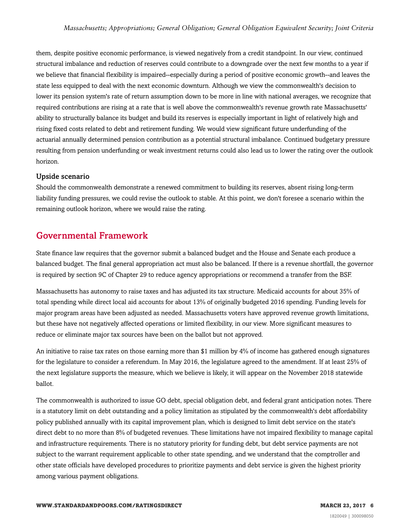them, despite positive economic performance, is viewed negatively from a credit standpoint. In our view, continued structural imbalance and reduction of reserves could contribute to a downgrade over the next few months to a year if we believe that financial flexibility is impaired--especially during a period of positive economic growth--and leaves the state less equipped to deal with the next economic downturn. Although we view the commonwealth's decision to lower its pension system's rate of return assumption down to be more in line with national averages, we recognize that required contributions are rising at a rate that is well above the commonwealth's revenue growth rate Massachusetts' ability to structurally balance its budget and build its reserves is especially important in light of relatively high and rising fixed costs related to debt and retirement funding. We would view significant future underfunding of the actuarial annually determined pension contribution as a potential structural imbalance. Continued budgetary pressure resulting from pension underfunding or weak investment returns could also lead us to lower the rating over the outlook horizon.

#### Upside scenario

Should the commonwealth demonstrate a renewed commitment to building its reserves, absent rising long-term liability funding pressures, we could revise the outlook to stable. At this point, we don't foresee a scenario within the remaining outlook horizon, where we would raise the rating.

#### <span id="page-5-0"></span>Governmental Framework

State finance law requires that the governor submit a balanced budget and the House and Senate each produce a balanced budget. The final general appropriation act must also be balanced. If there is a revenue shortfall, the governor is required by section 9C of Chapter 29 to reduce agency appropriations or recommend a transfer from the BSF.

Massachusetts has autonomy to raise taxes and has adjusted its tax structure. Medicaid accounts for about 35% of total spending while direct local aid accounts for about 13% of originally budgeted 2016 spending. Funding levels for major program areas have been adjusted as needed. Massachusetts voters have approved revenue growth limitations, but these have not negatively affected operations or limited flexibility, in our view. More significant measures to reduce or eliminate major tax sources have been on the ballot but not approved.

An initiative to raise tax rates on those earning more than \$1 million by 4% of income has gathered enough signatures for the legislature to consider a referendum. In May 2016, the legislature agreed to the amendment. If at least 25% of the next legislature supports the measure, which we believe is likely, it will appear on the November 2018 statewide ballot.

The commonwealth is authorized to issue GO debt, special obligation debt, and federal grant anticipation notes. There is a statutory limit on debt outstanding and a policy limitation as stipulated by the commonwealth's debt affordability policy published annually with its capital improvement plan, which is designed to limit debt service on the state's direct debt to no more than 8% of budgeted revenues. These limitations have not impaired flexibility to manage capital and infrastructure requirements. There is no statutory priority for funding debt, but debt service payments are not subject to the warrant requirement applicable to other state spending, and we understand that the comptroller and other state officials have developed procedures to prioritize payments and debt service is given the highest priority among various payment obligations.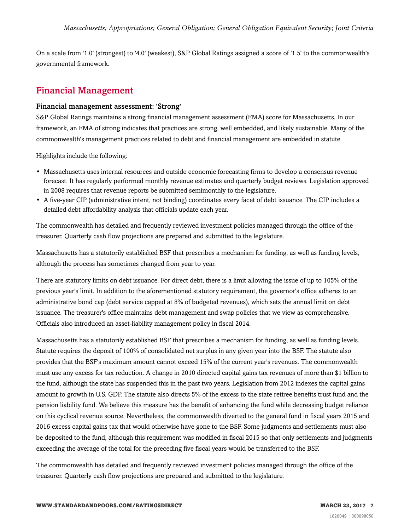On a scale from '1.0' (strongest) to '4.0' (weakest), S&P Global Ratings assigned a score of '1.5' to the commonwealth's governmental framework.

#### <span id="page-6-0"></span>Financial Management

#### Financial management assessment: 'Strong'

S&P Global Ratings maintains a strong financial management assessment (FMA) score for Massachusetts. In our framework, an FMA of strong indicates that practices are strong, well embedded, and likely sustainable. Many of the commonwealth's management practices related to debt and financial management are embedded in statute.

Highlights include the following:

- Massachusetts uses internal resources and outside economic forecasting firms to develop a consensus revenue forecast. It has regularly performed monthly revenue estimates and quarterly budget reviews. Legislation approved in 2008 requires that revenue reports be submitted semimonthly to the legislature.
- A five-year CIP (administrative intent, not binding) coordinates every facet of debt issuance. The CIP includes a detailed debt affordability analysis that officials update each year.

The commonwealth has detailed and frequently reviewed investment policies managed through the office of the treasurer. Quarterly cash flow projections are prepared and submitted to the legislature.

Massachusetts has a statutorily established BSF that prescribes a mechanism for funding, as well as funding levels, although the process has sometimes changed from year to year.

There are statutory limits on debt issuance. For direct debt, there is a limit allowing the issue of up to 105% of the previous year's limit. In addition to the aforementioned statutory requirement, the governor's office adheres to an administrative bond cap (debt service capped at 8% of budgeted revenues), which sets the annual limit on debt issuance. The treasurer's office maintains debt management and swap policies that we view as comprehensive. Officials also introduced an asset-liability management policy in fiscal 2014.

Massachusetts has a statutorily established BSF that prescribes a mechanism for funding, as well as funding levels. Statute requires the deposit of 100% of consolidated net surplus in any given year into the BSF. The statute also provides that the BSF's maximum amount cannot exceed 15% of the current year's revenues. The commonwealth must use any excess for tax reduction. A change in 2010 directed capital gains tax revenues of more than \$1 billion to the fund, although the state has suspended this in the past two years. Legislation from 2012 indexes the capital gains amount to growth in U.S. GDP. The statute also directs 5% of the excess to the state retiree benefits trust fund and the pension liability fund. We believe this measure has the benefit of enhancing the fund while decreasing budget reliance on this cyclical revenue source. Nevertheless, the commonwealth diverted to the general fund in fiscal years 2015 and 2016 excess capital gains tax that would otherwise have gone to the BSF. Some judgments and settlements must also be deposited to the fund, although this requirement was modified in fiscal 2015 so that only settlements and judgments exceeding the average of the total for the preceding five fiscal years would be transferred to the BSF.

The commonwealth has detailed and frequently reviewed investment policies managed through the office of the treasurer. Quarterly cash flow projections are prepared and submitted to the legislature.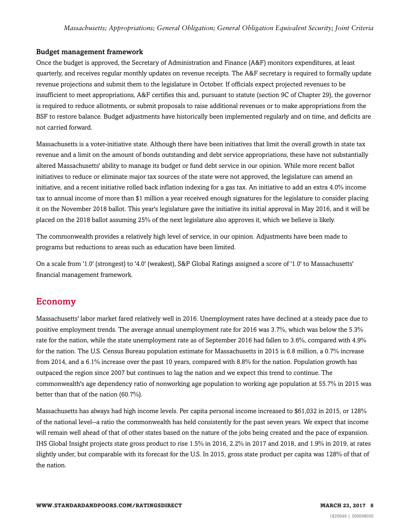#### Budget management framework

Once the budget is approved, the Secretary of Administration and Finance (A&F) monitors expenditures, at least quarterly, and receives regular monthly updates on revenue receipts. The A&F secretary is required to formally update revenue projections and submit them to the legislature in October. If officials expect projected revenues to be insufficient to meet appropriations, A&F certifies this and, pursuant to statute (section 9C of Chapter 29), the governor is required to reduce allotments, or submit proposals to raise additional revenues or to make appropriations from the BSF to restore balance. Budget adjustments have historically been implemented regularly and on time, and deficits are not carried forward.

Massachusetts is a voter-initiative state. Although there have been initiatives that limit the overall growth in state tax revenue and a limit on the amount of bonds outstanding and debt service appropriations, these have not substantially altered Massachusetts' ability to manage its budget or fund debt service in our opinion. While more recent ballot initiatives to reduce or eliminate major tax sources of the state were not approved, the legislature can amend an initiative, and a recent initiative rolled back inflation indexing for a gas tax. An initiative to add an extra 4.0% income tax to annual income of more than \$1 million a year received enough signatures for the legislature to consider placing it on the November 2018 ballot. This year's legislature gave the initiative its initial approval in May 2016, and it will be placed on the 2018 ballot assuming 25% of the next legislature also approves it, which we believe is likely.

The commonwealth provides a relatively high level of service, in our opinion. Adjustments have been made to programs but reductions to areas such as education have been limited.

On a scale from '1.0' (strongest) to '4.0' (weakest), S&P Global Ratings assigned a score of '1.0' to Massachusetts' financial management framework.

#### <span id="page-7-0"></span>Economy

Massachusetts' labor market fared relatively well in 2016. Unemployment rates have declined at a steady pace due to positive employment trends. The average annual unemployment rate for 2016 was 3.7%, which was below the 5.3% rate for the nation, while the state unemployment rate as of September 2016 had fallen to 3.6%, compared with 4.9% for the nation. The U.S. Census Bureau population estimate for Massachusetts in 2015 is 6.8 million, a 0.7% increase from 2014, and a 6.1% increase over the past 10 years, compared with 8.8% for the nation. Population growth has outpaced the region since 2007 but continues to lag the nation and we expect this trend to continue. The commonwealth's age dependency ratio of nonworking age population to working age population at 55.7% in 2015 was better than that of the nation (60.7%).

Massachusetts has always had high income levels. Per capita personal income increased to \$61,032 in 2015, or 128% of the national level--a ratio the commonwealth has held consistently for the past seven years. We expect that income will remain well ahead of that of other states based on the nature of the jobs being created and the pace of expansion. IHS Global Insight projects state gross product to rise 1.5% in 2016, 2.2% in 2017 and 2018, and 1.9% in 2019, at rates slightly under, but comparable with its forecast for the U.S. In 2015, gross state product per capita was 128% of that of the nation.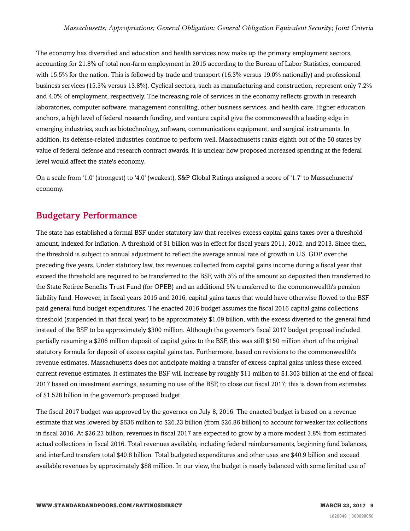The economy has diversified and education and health services now make up the primary employment sectors, accounting for 21.8% of total non-farm employment in 2015 according to the Bureau of Labor Statistics, compared with 15.5% for the nation. This is followed by trade and transport (16.3% versus 19.0% nationally) and professional business services (15.3% versus 13.8%). Cyclical sectors, such as manufacturing and construction, represent only 7.2% and 4.0% of employment, respectively. The increasing role of services in the economy reflects growth in research laboratories, computer software, management consulting, other business services, and health care. Higher education anchors, a high level of federal research funding, and venture capital give the commonwealth a leading edge in emerging industries, such as biotechnology, software, communications equipment, and surgical instruments. In addition, its defense-related industries continue to perform well. Massachusetts ranks eighth out of the 50 states by value of federal defense and research contract awards. It is unclear how proposed increased spending at the federal level would affect the state's economy.

On a scale from '1.0' (strongest) to '4.0' (weakest), S&P Global Ratings assigned a score of '1.7' to Massachusetts' economy.

#### <span id="page-8-0"></span>Budgetary Performance

The state has established a formal BSF under statutory law that receives excess capital gains taxes over a threshold amount, indexed for inflation. A threshold of \$1 billion was in effect for fiscal years 2011, 2012, and 2013. Since then, the threshold is subject to annual adjustment to reflect the average annual rate of growth in U.S. GDP over the preceding five years. Under statutory law, tax revenues collected from capital gains income during a fiscal year that exceed the threshold are required to be transferred to the BSF, with 5% of the amount so deposited then transferred to the State Retiree Benefits Trust Fund (for OPEB) and an additional 5% transferred to the commonwealth's pension liability fund. However, in fiscal years 2015 and 2016, capital gains taxes that would have otherwise flowed to the BSF paid general fund budget expenditures. The enacted 2016 budget assumes the fiscal 2016 capital gains collections threshold (suspended in that fiscal year) to be approximately \$1.09 billion, with the excess diverted to the general fund instead of the BSF to be approximately \$300 million. Although the governor's fiscal 2017 budget proposal included partially resuming a \$206 million deposit of capital gains to the BSF, this was still \$150 million short of the original statutory formula for deposit of excess capital gains tax. Furthermore, based on revisions to the commonwealth's revenue estimates, Massachusetts does not anticipate making a transfer of excess capital gains unless these exceed current revenue estimates. It estimates the BSF will increase by roughly \$11 million to \$1.303 billion at the end of fiscal 2017 based on investment earnings, assuming no use of the BSF, to close out fiscal 2017; this is down from estimates of \$1.528 billion in the governor's proposed budget.

The fiscal 2017 budget was approved by the governor on July 8, 2016. The enacted budget is based on a revenue estimate that was lowered by \$636 million to \$26.23 billion (from \$26.86 billion) to account for weaker tax collections in fiscal 2016. At \$26.23 billion, revenues in fiscal 2017 are expected to grow by a more modest 3.8% from estimated actual collections in fiscal 2016. Total revenues available, including federal reimbursements, beginning fund balances, and interfund transfers total \$40.8 billion. Total budgeted expenditures and other uses are \$40.9 billion and exceed available revenues by approximately \$88 million. In our view, the budget is nearly balanced with some limited use of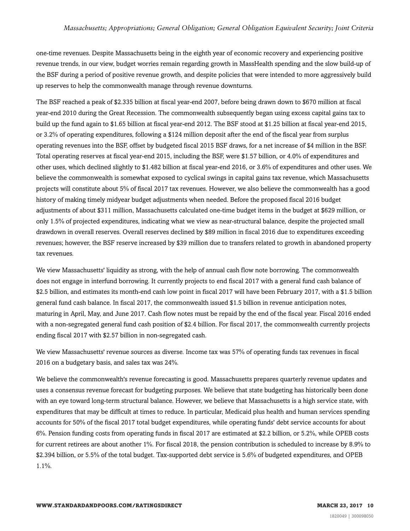one-time revenues. Despite Massachusetts being in the eighth year of economic recovery and experiencing positive revenue trends, in our view, budget worries remain regarding growth in MassHealth spending and the slow build-up of the BSF during a period of positive revenue growth, and despite policies that were intended to more aggressively build up reserves to help the commonwealth manage through revenue downturns.

The BSF reached a peak of \$2.335 billion at fiscal year-end 2007, before being drawn down to \$670 million at fiscal year-end 2010 during the Great Recession. The commonwealth subsequently began using excess capital gains tax to build up the fund again to \$1.65 billion at fiscal year-end 2012. The BSF stood at \$1.25 billion at fiscal year-end 2015, or 3.2% of operating expenditures, following a \$124 million deposit after the end of the fiscal year from surplus operating revenues into the BSF, offset by budgeted fiscal 2015 BSF draws, for a net increase of \$4 million in the BSF. Total operating reserves at fiscal year-end 2015, including the BSF, were \$1.57 billion, or 4.0% of expenditures and other uses, which declined slightly to \$1.482 billion at fiscal year-end 2016, or 3.6% of expenditures and other uses. We believe the commonwealth is somewhat exposed to cyclical swings in capital gains tax revenue, which Massachusetts projects will constitute about 5% of fiscal 2017 tax revenues. However, we also believe the commonwealth has a good history of making timely midyear budget adjustments when needed. Before the proposed fiscal 2016 budget adjustments of about \$311 million, Massachusetts calculated one-time budget items in the budget at \$629 million, or only 1.5% of projected expenditures, indicating what we view as near-structural balance, despite the projected small drawdown in overall reserves. Overall reserves declined by \$89 million in fiscal 2016 due to expenditures exceeding revenues; however, the BSF reserve increased by \$39 million due to transfers related to growth in abandoned property tax revenues.

We view Massachusetts' liquidity as strong, with the help of annual cash flow note borrowing. The commonwealth does not engage in interfund borrowing. It currently projects to end fiscal 2017 with a general fund cash balance of \$2.5 billion, and estimates its month-end cash low point in fiscal 2017 will have been February 2017, with a \$1.5 billion general fund cash balance. In fiscal 2017, the commonwealth issued \$1.5 billion in revenue anticipation notes, maturing in April, May, and June 2017. Cash flow notes must be repaid by the end of the fiscal year. Fiscal 2016 ended with a non-segregated general fund cash position of \$2.4 billion. For fiscal 2017, the commonwealth currently projects ending fiscal 2017 with \$2.57 billion in non-segregated cash.

We view Massachusetts' revenue sources as diverse. Income tax was 57% of operating funds tax revenues in fiscal 2016 on a budgetary basis, and sales tax was 24%.

We believe the commonwealth's revenue forecasting is good. Massachusetts prepares quarterly revenue updates and uses a consensus revenue forecast for budgeting purposes. We believe that state budgeting has historically been done with an eye toward long-term structural balance. However, we believe that Massachusetts is a high service state, with expenditures that may be difficult at times to reduce. In particular, Medicaid plus health and human services spending accounts for 50% of the fiscal 2017 total budget expenditures, while operating funds' debt service accounts for about 6%. Pension funding costs from operating funds in fiscal 2017 are estimated at \$2.2 billion, or 5.2%, while OPEB costs for current retirees are about another 1%. For fiscal 2018, the pension contribution is scheduled to increase by 8.9% to \$2.394 billion, or 5.5% of the total budget. Tax-supported debt service is 5.6% of budgeted expenditures, and OPEB 1.1%.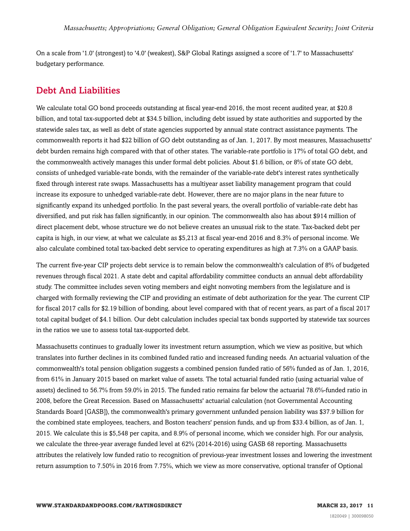On a scale from '1.0' (strongest) to '4.0' (weakest), S&P Global Ratings assigned a score of '1.7' to Massachusetts' budgetary performance.

#### <span id="page-10-0"></span>Debt And Liabilities

We calculate total GO bond proceeds outstanding at fiscal year-end 2016, the most recent audited year, at \$20.8 billion, and total tax-supported debt at \$34.5 billion, including debt issued by state authorities and supported by the statewide sales tax, as well as debt of state agencies supported by annual state contract assistance payments. The commonwealth reports it had \$22 billion of GO debt outstanding as of Jan. 1, 2017. By most measures, Massachusetts' debt burden remains high compared with that of other states. The variable-rate portfolio is 17% of total GO debt, and the commonwealth actively manages this under formal debt policies. About \$1.6 billion, or 8% of state GO debt, consists of unhedged variable-rate bonds, with the remainder of the variable-rate debt's interest rates synthetically fixed through interest rate swaps. Massachusetts has a multiyear asset liability management program that could increase its exposure to unhedged variable-rate debt. However, there are no major plans in the near future to significantly expand its unhedged portfolio. In the past several years, the overall portfolio of variable-rate debt has diversified, and put risk has fallen significantly, in our opinion. The commonwealth also has about \$914 million of direct placement debt, whose structure we do not believe creates an unusual risk to the state. Tax-backed debt per capita is high, in our view, at what we calculate as \$5,213 at fiscal year-end 2016 and 8.3% of personal income. We also calculate combined total tax-backed debt service to operating expenditures as high at 7.3% on a GAAP basis.

The current five-year CIP projects debt service is to remain below the commonwealth's calculation of 8% of budgeted revenues through fiscal 2021. A state debt and capital affordability committee conducts an annual debt affordability study. The committee includes seven voting members and eight nonvoting members from the legislature and is charged with formally reviewing the CIP and providing an estimate of debt authorization for the year. The current CIP for fiscal 2017 calls for \$2.19 billion of bonding, about level compared with that of recent years, as part of a fiscal 2017 total capital budget of \$4.1 billion. Our debt calculation includes special tax bonds supported by statewide tax sources in the ratios we use to assess total tax-supported debt.

Massachusetts continues to gradually lower its investment return assumption, which we view as positive, but which translates into further declines in its combined funded ratio and increased funding needs. An actuarial valuation of the commonwealth's total pension obligation suggests a combined pension funded ratio of 56% funded as of Jan. 1, 2016, from 61% in January 2015 based on market value of assets. The total actuarial funded ratio (using actuarial value of assets) declined to 56.7% from 59.0% in 2015. The funded ratio remains far below the actuarial 78.6%-funded ratio in 2008, before the Great Recession. Based on Massachusetts' actuarial calculation (not Governmental Accounting Standards Board [GASB]), the commonwealth's primary government unfunded pension liability was \$37.9 billion for the combined state employees, teachers, and Boston teachers' pension funds, and up from \$33.4 billion, as of Jan. 1, 2015. We calculate this is \$5,548 per capita, and 8.9% of personal income, which we consider high. For our analysis, we calculate the three-year average funded level at 62% (2014-2016) using GASB 68 reporting. Massachusetts attributes the relatively low funded ratio to recognition of previous-year investment losses and lowering the investment return assumption to 7.50% in 2016 from 7.75%, which we view as more conservative, optional transfer of Optional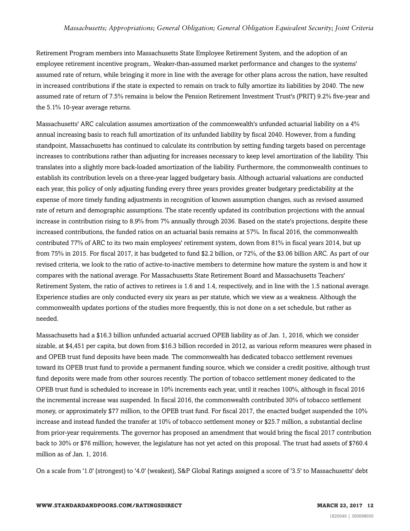Retirement Program members into Massachusetts State Employee Retirement System, and the adoption of an employee retirement incentive program,. Weaker-than-assumed market performance and changes to the systems' assumed rate of return, while bringing it more in line with the average for other plans across the nation, have resulted in increased contributions if the state is expected to remain on track to fully amortize its liabilities by 2040. The new assumed rate of return of 7.5% remains is below the Pension Retirement Investment Trust's (PRIT) 9.2% five-year and the 5.1% 10-year average returns.

Massachusetts' ARC calculation assumes amortization of the commonwealth's unfunded actuarial liability on a 4% annual increasing basis to reach full amortization of its unfunded liability by fiscal 2040. However, from a funding standpoint, Massachusetts has continued to calculate its contribution by setting funding targets based on percentage increases to contributions rather than adjusting for increases necessary to keep level amortization of the liability. This translates into a slightly more back-loaded amortization of the liability. Furthermore, the commonwealth continues to establish its contribution levels on a three-year lagged budgetary basis. Although actuarial valuations are conducted each year, this policy of only adjusting funding every three years provides greater budgetary predictability at the expense of more timely funding adjustments in recognition of known assumption changes, such as revised assumed rate of return and demographic assumptions. The state recently updated its contribution projections with the annual increase in contribution rising to 8.9% from 7% annually through 2036. Based on the state's projections, despite these increased contributions, the funded ratios on an actuarial basis remains at 57%. In fiscal 2016, the commonwealth contributed 77% of ARC to its two main employees' retirement system, down from 81% in fiscal years 2014, but up from 75% in 2015. For fiscal 2017, it has budgeted to fund \$2.2 billion, or 72%, of the \$3.06 billion ARC. As part of our revised criteria, we look to the ratio of active-to-inactive members to determine how mature the system is and how it compares with the national average. For Massachusetts State Retirement Board and Massachusetts Teachers' Retirement System, the ratio of actives to retirees is 1.6 and 1.4, respectively, and in line with the 1.5 national average. Experience studies are only conducted every six years as per statute, which we view as a weakness. Although the commonwealth updates portions of the studies more frequently, this is not done on a set schedule, but rather as needed.

Massachusetts had a \$16.3 billion unfunded actuarial accrued OPEB liability as of Jan. 1, 2016, which we consider sizable, at \$4,451 per capita, but down from \$16.3 billion recorded in 2012, as various reform measures were phased in and OPEB trust fund deposits have been made. The commonwealth has dedicated tobacco settlement revenues toward its OPEB trust fund to provide a permanent funding source, which we consider a credit positive, although trust fund deposits were made from other sources recently. The portion of tobacco settlement money dedicated to the OPEB trust fund is scheduled to increase in 10% increments each year, until it reaches 100%, although in fiscal 2016 the incremental increase was suspended. In fiscal 2016, the commonwealth contributed 30% of tobacco settlement money, or approximately \$77 million, to the OPEB trust fund. For fiscal 2017, the enacted budget suspended the 10% increase and instead funded the transfer at 10% of tobacco settlement money or \$25.7 million, a substantial decline from prior-year requirements. The governor has proposed an amendment that would bring the fiscal 2017 contribution back to 30% or \$76 million; however, the legislature has not yet acted on this proposal. The trust had assets of \$760.4 million as of Jan. 1, 2016.

On a scale from '1.0' (strongest) to '4.0' (weakest), S&P Global Ratings assigned a score of '3.5' to Massachusetts' debt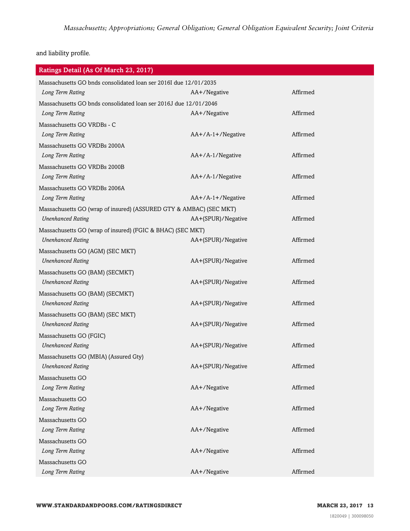and liability profile.

| Ratings Detail (As Of March 23, 2017)                              |                     |          |  |  |
|--------------------------------------------------------------------|---------------------|----------|--|--|
| Massachusetts GO bnds consolidated loan ser 2016I due 12/01/2035   |                     |          |  |  |
| Long Term Rating                                                   | AA+/Negative        | Affirmed |  |  |
| Massachusetts GO bnds consolidated loan ser 2016J due 12/01/2046   |                     |          |  |  |
| Long Term Rating                                                   | AA+/Negative        | Affirmed |  |  |
| Massachusetts GO VRDBs - C                                         |                     |          |  |  |
| Long Term Rating                                                   | $AA+/A-1+/Negative$ | Affirmed |  |  |
| Massachusetts GO VRDBs 2000A                                       |                     |          |  |  |
| Long Term Rating                                                   | AA+/A-1/Negative    | Affirmed |  |  |
| Massachusetts GO VRDBs 2000B                                       |                     |          |  |  |
| Long Term Rating                                                   | AA+/A-1/Negative    | Affirmed |  |  |
| Massachusetts GO VRDBs 2006A                                       |                     |          |  |  |
| Long Term Rating                                                   | AA+/A-1+/Negative   | Affirmed |  |  |
| Massachusetts GO (wrap of insured) (ASSURED GTY & AMBAC) (SEC MKT) |                     |          |  |  |
| <b>Unenhanced Rating</b>                                           | AA+(SPUR)/Negative  | Affirmed |  |  |
| Massachusetts GO (wrap of insured) (FGIC & BHAC) (SEC MKT)         |                     |          |  |  |
| <b>Unenhanced Rating</b>                                           | AA+(SPUR)/Negative  | Affirmed |  |  |
| Massachusetts GO (AGM) (SEC MKT)                                   |                     |          |  |  |
| <b>Unenhanced Rating</b>                                           | AA+(SPUR)/Negative  | Affirmed |  |  |
| Massachusetts GO (BAM) (SECMKT)                                    |                     |          |  |  |
| <b>Unenhanced Rating</b>                                           | AA+(SPUR)/Negative  | Affirmed |  |  |
| Massachusetts GO (BAM) (SECMKT)                                    |                     |          |  |  |
| <b>Unenhanced Rating</b>                                           | AA+(SPUR)/Negative  | Affirmed |  |  |
| Massachusetts GO (BAM) (SEC MKT)                                   |                     |          |  |  |
| <b>Unenhanced Rating</b>                                           | AA+(SPUR)/Negative  | Affirmed |  |  |
| Massachusetts GO (FGIC)                                            |                     |          |  |  |
| <b>Unenhanced Rating</b>                                           | AA+(SPUR)/Negative  | Affirmed |  |  |
| Massachusetts GO (MBIA) (Assured Gty)                              |                     |          |  |  |
| <b>Unenhanced Rating</b>                                           | AA+(SPUR)/Negative  | Affirmed |  |  |
| Massachusetts GO                                                   |                     |          |  |  |
| Long Term Rating                                                   | AA+/Negative        | Affirmed |  |  |
| Massachusetts GO                                                   |                     |          |  |  |
| Long Term Rating                                                   | AA+/Negative        | Affirmed |  |  |
| Massachusetts GO                                                   |                     |          |  |  |
| Long Term Rating                                                   | AA+/Negative        | Affirmed |  |  |
| Massachusetts GO                                                   |                     |          |  |  |
| Long Term Rating                                                   | AA+/Negative        | Affirmed |  |  |
| Massachusetts GO                                                   |                     |          |  |  |
| Long Term Rating                                                   | AA+/Negative        | Affirmed |  |  |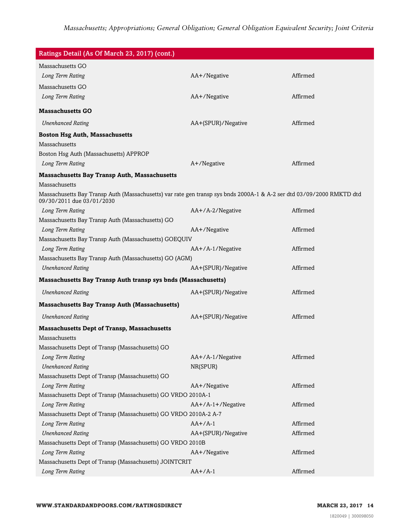| Ratings Detail (As Of March 23, 2017) (cont.)                                                                                                      |                     |          |  |  |
|----------------------------------------------------------------------------------------------------------------------------------------------------|---------------------|----------|--|--|
| Massachusetts GO                                                                                                                                   |                     |          |  |  |
| Long Term Rating                                                                                                                                   | AA+/Negative        | Affirmed |  |  |
| Massachusetts GO                                                                                                                                   |                     |          |  |  |
| Long Term Rating                                                                                                                                   | AA+/Negative        | Affirmed |  |  |
| <b>Massachusetts GO</b>                                                                                                                            |                     |          |  |  |
| <b>Unenhanced Rating</b>                                                                                                                           | AA+(SPUR)/Negative  | Affirmed |  |  |
|                                                                                                                                                    |                     |          |  |  |
| <b>Boston Hsg Auth, Massachusetts</b><br>Massachusetts                                                                                             |                     |          |  |  |
| Boston Hsg Auth (Massachusetts) APPROP                                                                                                             |                     |          |  |  |
| Long Term Rating                                                                                                                                   | A+/Negative         | Affirmed |  |  |
|                                                                                                                                                    |                     |          |  |  |
| <b>Massachusetts Bay Transp Auth, Massachusetts</b><br>Massachusetts                                                                               |                     |          |  |  |
|                                                                                                                                                    |                     |          |  |  |
| Massachusetts Bay Transp Auth (Massachusetts) var rate gen transp sys bnds 2000A-1 & A-2 ser dtd 03/09/2000 RMKTD dtd<br>09/30/2011 due 03/01/2030 |                     |          |  |  |
| Long Term Rating                                                                                                                                   | AA+/A-2/Negative    | Affirmed |  |  |
| Massachusetts Bay Transp Auth (Massachusetts) GO                                                                                                   |                     |          |  |  |
| Long Term Rating                                                                                                                                   | AA+/Negative        | Affirmed |  |  |
| Massachusetts Bay Transp Auth (Massachusetts) GOEQUIV                                                                                              |                     |          |  |  |
| Long Term Rating                                                                                                                                   | AA+/A-1/Negative    | Affirmed |  |  |
| Massachusetts Bay Transp Auth (Massachusetts) GO (AGM)                                                                                             |                     |          |  |  |
| <b>Unenhanced Rating</b>                                                                                                                           | AA+(SPUR)/Negative  | Affirmed |  |  |
| Massachusetts Bay Transp Auth transp sys bnds (Massachusetts)                                                                                      |                     |          |  |  |
| <b>Unenhanced Rating</b>                                                                                                                           | AA+(SPUR)/Negative  | Affirmed |  |  |
| <b>Massachusetts Bay Transp Auth (Massachusetts)</b>                                                                                               |                     |          |  |  |
| <b>Unenhanced Rating</b>                                                                                                                           | AA+(SPUR)/Negative  | Affirmed |  |  |
| <b>Massachusetts Dept of Transp, Massachusetts</b>                                                                                                 |                     |          |  |  |
| Massachusetts                                                                                                                                      |                     |          |  |  |
| Massachusetts Dept of Transp (Massachusetts) GO                                                                                                    |                     |          |  |  |
| Long Term Rating                                                                                                                                   | AA+/A-1/Negative    | Affirmed |  |  |
| <b>Unenhanced Rating</b>                                                                                                                           | NR(SPUR)            |          |  |  |
| Massachusetts Dept of Transp (Massachusetts) GO                                                                                                    |                     |          |  |  |
| Long Term Rating                                                                                                                                   | AA+/Negative        | Affirmed |  |  |
| Massachusetts Dept of Transp (Massachusetts) GO VRDO 2010A-1                                                                                       |                     |          |  |  |
| Long Term Rating                                                                                                                                   | $AA+/A-1+/Negative$ | Affirmed |  |  |
| Massachusetts Dept of Transp (Massachusetts) GO VRDO 2010A-2 A-7                                                                                   |                     |          |  |  |
| Long Term Rating                                                                                                                                   | $AA+/A-1$           | Affirmed |  |  |
| <b>Unenhanced Rating</b>                                                                                                                           | AA+(SPUR)/Negative  | Affirmed |  |  |
| Massachusetts Dept of Transp (Massachusetts) GO VRDO 2010B                                                                                         |                     |          |  |  |
| Long Term Rating                                                                                                                                   | AA+/Negative        | Affirmed |  |  |
| Massachusetts Dept of Transp (Massachusetts) JOINTCRIT                                                                                             |                     |          |  |  |
| Long Term Rating                                                                                                                                   | $AA+/A-1$           | Affirmed |  |  |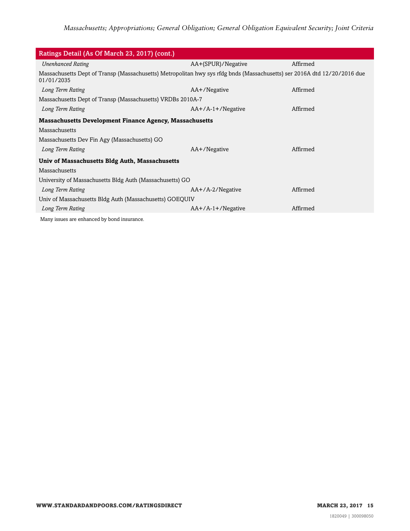| Ratings Detail (As Of March 23, 2017) (cont.)                                                                                          |                     |          |  |  |
|----------------------------------------------------------------------------------------------------------------------------------------|---------------------|----------|--|--|
| <b>Unenhanced Rating</b>                                                                                                               | AA+(SPUR)/Negative  | Affirmed |  |  |
| Massachusetts Dept of Transp (Massachusetts) Metropolitan hwy sys rfdg bnds (Massachusetts) ser 2016A dtd 12/20/2016 due<br>01/01/2035 |                     |          |  |  |
| Long Term Rating                                                                                                                       | AA+/Negative        | Affirmed |  |  |
| Massachusetts Dept of Transp (Massachusetts) VRDBs 2010A-7                                                                             |                     |          |  |  |
| Long Term Rating                                                                                                                       | $AA+/A-1+/Negative$ | Affirmed |  |  |
| <b>Massachusetts Development Finance Agency, Massachusetts</b>                                                                         |                     |          |  |  |
| Massachusetts                                                                                                                          |                     |          |  |  |
| Massachusetts Dev Fin Agy (Massachusetts) GO                                                                                           |                     |          |  |  |
| Long Term Rating                                                                                                                       | AA+/Negative        | Affirmed |  |  |
| Univ of Massachusetts Bldg Auth, Massachusetts                                                                                         |                     |          |  |  |
| Massachusetts                                                                                                                          |                     |          |  |  |
| University of Massachusetts Bldg Auth (Massachusetts) GO                                                                               |                     |          |  |  |
| Long Term Rating                                                                                                                       | $AA+/A-2/N$ egative | Affirmed |  |  |
| Univ of Massachusetts Bldg Auth (Massachusetts) GOEQUIV                                                                                |                     |          |  |  |
| Long Term Rating                                                                                                                       | $AA+/A-1+/Negative$ | Affirmed |  |  |
| Many issues are enhanced by bond insurance.                                                                                            |                     |          |  |  |